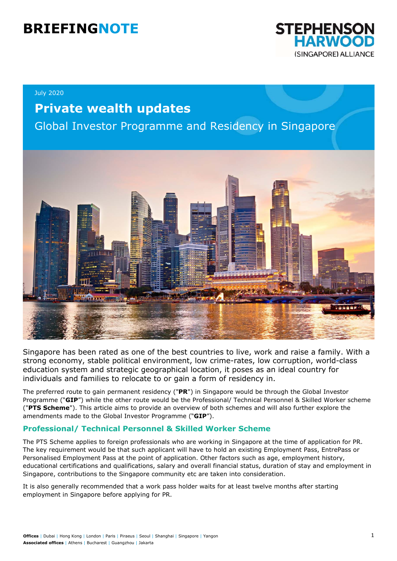# **BRIEFINGNOTE**



#### July 2020

## **Private wealth updates**

Global Investor Programme and Residency in Singapore



Singapore has been rated as one of the best countries to live, work and raise a family. With a strong economy, stable political environment, low crime-rates, low corruption, world-class education system and strategic geographical location, it poses as an ideal country for individuals and families to relocate to or gain a form of residency in.

The preferred route to gain permanent residency ("**PR**") in Singapore would be through the Global Investor Programme ("**GIP**") while the other route would be the Professional/ Technical Personnel & Skilled Worker scheme ("**PTS Scheme**"). This article aims to provide an overview of both schemes and will also further explore the amendments made to the Global Investor Programme ("**GIP**").

#### **Professional/ Technical Personnel & Skilled Worker Scheme**

The PTS Scheme applies to foreign professionals who are working in Singapore at the time of application for PR. The key requirement would be that such applicant will have to hold an existing Employment Pass, EntrePass or Personalised Employment Pass at the point of application. Other factors such as age, employment history, educational certifications and qualifications, salary and overall financial status, duration of stay and employment in Singapore, contributions to the Singapore community etc are taken into consideration.

It is also generally recommended that a work pass holder waits for at least twelve months after starting employment in Singapore before applying for PR.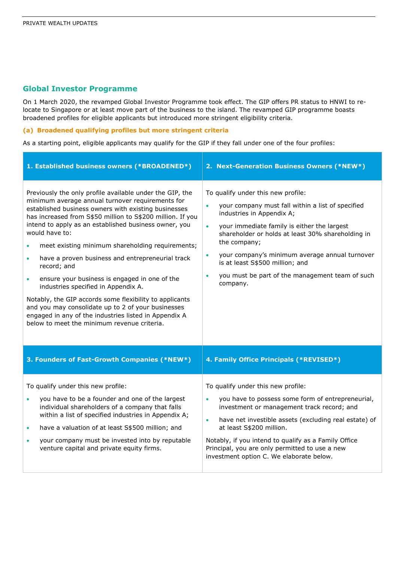#### **Global Investor Programme**

On 1 March 2020, the revamped Global Investor Programme took effect. The GIP offers PR status to HNWI to relocate to Singapore or at least move part of the business to the island. The revamped GIP programme boasts broadened profiles for eligible applicants but introduced more stringent eligibility criteria.

#### **(a) Broadened qualifying profiles but more stringent criteria**

As a starting point, eligible applicants may qualify for the GIP if they fall under one of the four profiles:

| 1. Established business owners (*BROADENED*)                                                                                                                                                                                                                                                                                                                                                                                                                                                                                                                                                                                                                                                                                                                                    | 2. Next-Generation Business Owners (*NEW*)                                                                                                                                                                                                                                                                                                                                                                             |
|---------------------------------------------------------------------------------------------------------------------------------------------------------------------------------------------------------------------------------------------------------------------------------------------------------------------------------------------------------------------------------------------------------------------------------------------------------------------------------------------------------------------------------------------------------------------------------------------------------------------------------------------------------------------------------------------------------------------------------------------------------------------------------|------------------------------------------------------------------------------------------------------------------------------------------------------------------------------------------------------------------------------------------------------------------------------------------------------------------------------------------------------------------------------------------------------------------------|
| Previously the only profile available under the GIP, the<br>minimum average annual turnover requirements for<br>established business owners with existing businesses<br>has increased from S\$50 million to S\$200 million. If you<br>intend to apply as an established business owner, you<br>would have to:<br>meet existing minimum shareholding requirements;<br>have a proven business and entrepreneurial track<br>$\bullet$<br>record; and<br>ensure your business is engaged in one of the<br>$\bullet$<br>industries specified in Appendix A.<br>Notably, the GIP accords some flexibility to applicants<br>and you may consolidate up to 2 of your businesses<br>engaged in any of the industries listed in Appendix A<br>below to meet the minimum revenue criteria. | To qualify under this new profile:<br>your company must fall within a list of specified<br>industries in Appendix A;<br>your immediate family is either the largest<br>$\bullet$<br>shareholder or holds at least 30% shareholding in<br>the company;<br>your company's minimum average annual turnover<br>$\bullet$<br>is at least S\$500 million; and<br>you must be part of the management team of such<br>company. |
| 3. Founders of Fast-Growth Companies (*NEW*)                                                                                                                                                                                                                                                                                                                                                                                                                                                                                                                                                                                                                                                                                                                                    | 4. Family Office Principals (*REVISED*)                                                                                                                                                                                                                                                                                                                                                                                |
| To qualify under this new profile:<br>you have to be a founder and one of the largest<br>$\bullet$<br>individual shareholders of a company that falls<br>within a list of specified industries in Appendix A;<br>have a valuation of at least S\$500 million; and<br>$\bullet$<br>your company must be invested into by reputable<br>$\bullet$<br>venture capital and private equity firms.                                                                                                                                                                                                                                                                                                                                                                                     | To qualify under this new profile:<br>you have to possess some form of entrepreneurial,<br>investment or management track record; and<br>have net investible assets (excluding real estate) of<br>$\bullet$<br>at least S\$200 million.<br>Notably, if you intend to qualify as a Family Office<br>Principal, you are only permitted to use a new<br>investment option C. We elaborate below.                          |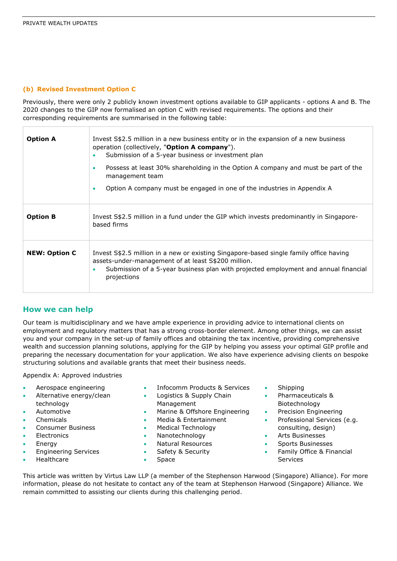#### **(b) Revised Investment Option C**

Previously, there were only 2 publicly known investment options available to GIP applicants - options A and B. The 2020 changes to the GIP now formalised an option C with revised requirements. The options and their corresponding requirements are summarised in the following table:

| <b>Option A</b>      | Invest S\$2.5 million in a new business entity or in the expansion of a new business<br>operation (collectively, "Option A company").<br>Submission of a 5-year business or investment plan<br>Possess at least 30% shareholding in the Option A company and must be part of the<br>$\bullet$<br>management team<br>Option A company must be engaged in one of the industries in Appendix A<br>$\bullet$ |
|----------------------|----------------------------------------------------------------------------------------------------------------------------------------------------------------------------------------------------------------------------------------------------------------------------------------------------------------------------------------------------------------------------------------------------------|
| <b>Option B</b>      | Invest S\$2.5 million in a fund under the GIP which invests predominantly in Singapore-<br>based firms                                                                                                                                                                                                                                                                                                   |
| <b>NEW: Option C</b> | Invest S\$2.5 million in a new or existing Singapore-based single family office having<br>assets-under-management of at least S\$200 million.<br>Submission of a 5-year business plan with projected employment and annual financial<br>projections                                                                                                                                                      |

#### **How we can help**

Our team is multidisciplinary and we have ample experience in providing advice to international clients on employment and regulatory matters that has a strong cross-border element. Among other things, we can assist you and your company in the set-up of family offices and obtaining the tax incentive, providing comprehensive wealth and succession planning solutions, applying for the GIP by helping you assess your optimal GIP profile and preparing the necessary documentation for your application. We also have experience advising clients on bespoke structuring solutions and available grants that meet their business needs.

Appendix A: Approved industries

- Aerospace engineering
- Alternative energy/clean technology
- Automotive
- Chemicals
- Consumer Business
- **Electronics**
- **Energy**
- Engineering Services
- Healthcare
- Infocomm Products & Services
- Logistics & Supply Chain Management
- Marine & Offshore Engineering
- Media & Entertainment
- Medical Technology
- Nanotechnology
- Natural Resources
- Safety & Security
- **Space**
- Shipping
- Pharmaceuticals & Biotechnology
- Precision Engineering
- Professional Services (e.g. consulting, design)
- Arts Businesses
- Sports Businesses
- Family Office & Financial **Services**

This article was written by Virtus Law LLP (a member of the Stephenson Harwood (Singapore) Alliance). For more information, please do not hesitate to contact any of the team at Stephenson Harwood (Singapore) Alliance. We remain committed to assisting our clients during this challenging period.